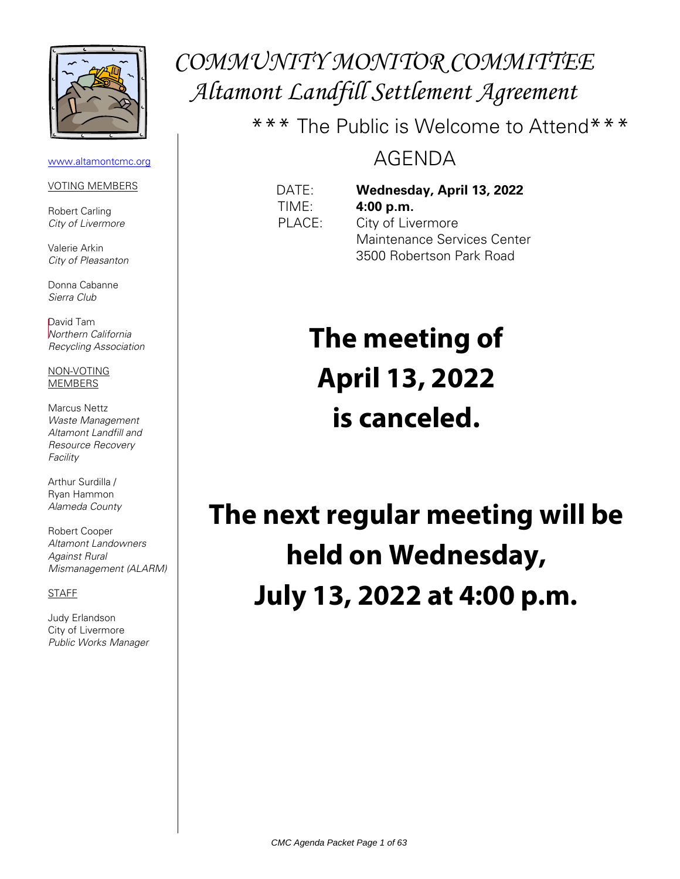

#### [www.altamontcmc.org](http://www.altamontcmc.org/)

#### VOTING MEMBERS

Robert Carling City of Livermore

Valerie Arkin City of Pleasanton

Donna Cabanne Sierra Club

David Tam Northern California Recycling Association

NON-VOTING MEMBERS

Marcus Nettz Waste Management Altamont Landfill and Resource Recovery **Facility** 

Arthur Surdilla / Ryan Hammon Alameda County

Robert Cooper Altamont Landowners Against Rural Mismanagement (ALARM)

### STAFF

Judy Erlandson City of Livermore Public Works Manager

## COMMUNITY MONITOR COMMITTEE Altamont Landfill Settlement Agreement

\*\*\* The Public is Welcome to Attend\*\*\*

## AGENDA

## DATE: **Wednesday, April 13, 2022** TIME: **4:00 p.m.**

PLACE: City of Livermore Maintenance Services Center 3500 Robertson Park Road

# **The meeting of April 13, 2022 is canceled.**

**The next regular meeting will be held on Wednesday, July 13, 2022 at 4:00 p.m.**